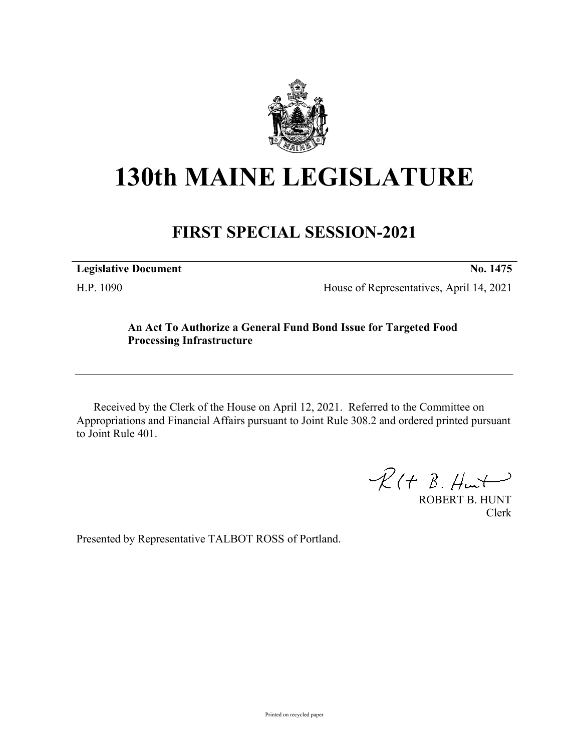

## **130th MAINE LEGISLATURE**

## **FIRST SPECIAL SESSION-2021**

| <b>Legislative Document</b> | No. 1475 |
|-----------------------------|----------|
|                             |          |

H.P. 1090 House of Representatives, April 14, 2021

## **An Act To Authorize a General Fund Bond Issue for Targeted Food Processing Infrastructure**

Received by the Clerk of the House on April 12, 2021. Referred to the Committee on Appropriations and Financial Affairs pursuant to Joint Rule 308.2 and ordered printed pursuant to Joint Rule 401.

 $R(H B. H<sub>ur</sub>)$ 

ROBERT B. HUNT Clerk

Presented by Representative TALBOT ROSS of Portland.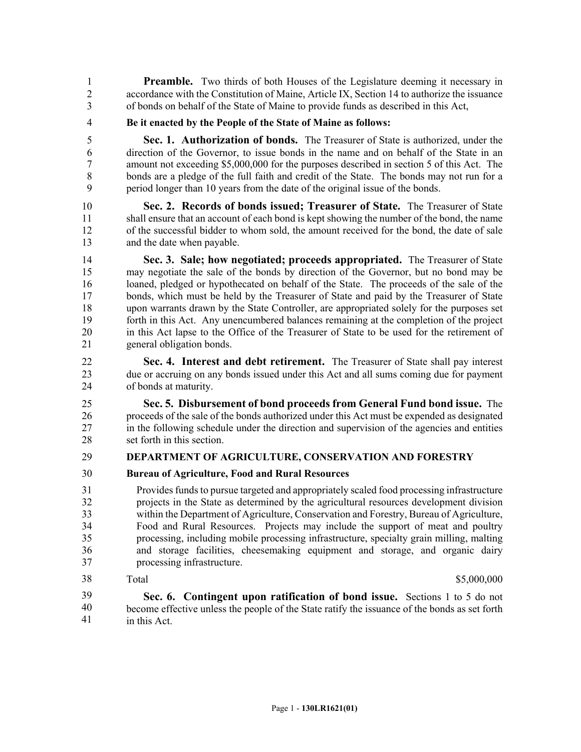**Preamble.** Two thirds of both Houses of the Legislature deeming it necessary in 2 accordance with the Constitution of Maine, Article IX, Section 14 to authorize the issuance 3 of bonds on behalf of the State of Maine to provide funds as described in this Act,

4 **Be it enacted by the People of the State of Maine as follows:**

5 **Sec. 1. Authorization of bonds.** The Treasurer of State is authorized, under the 6 direction of the Governor, to issue bonds in the name and on behalf of the State in an 7 amount not exceeding \$5,000,000 for the purposes described in section 5 of this Act. The 8 bonds are a pledge of the full faith and credit of the State. The bonds may not run for a 9 period longer than 10 years from the date of the original issue of the bonds.

10 **Sec. 2. Records of bonds issued; Treasurer of State.** The Treasurer of State 11 shall ensure that an account of each bond is kept showing the number of the bond, the name 12 of the successful bidder to whom sold, the amount received for the bond, the date of sale 13 and the date when payable.

14 **Sec. 3. Sale; how negotiated; proceeds appropriated.** The Treasurer of State 15 may negotiate the sale of the bonds by direction of the Governor, but no bond may be 16 loaned, pledged or hypothecated on behalf of the State. The proceeds of the sale of the 17 bonds, which must be held by the Treasurer of State and paid by the Treasurer of State 18 upon warrants drawn by the State Controller, are appropriated solely for the purposes set 19 forth in this Act. Any unencumbered balances remaining at the completion of the project 20 in this Act lapse to the Office of the Treasurer of State to be used for the retirement of 21 general obligation bonds.

22 **Sec. 4. Interest and debt retirement.** The Treasurer of State shall pay interest 23 due or accruing on any bonds issued under this Act and all sums coming due for payment 24 of bonds at maturity.

25 **Sec. 5. Disbursement of bond proceeds from General Fund bond issue.** The 26 proceeds of the sale of the bonds authorized under this Act must be expended as designated 27 in the following schedule under the direction and supervision of the agencies and entities 28 set forth in this section.

## 29 **DEPARTMENT OF AGRICULTURE, CONSERVATION AND FORESTRY**

30 **Bureau of Agriculture, Food and Rural Resources**

31 Provides funds to pursue targeted and appropriately scaled food processing infrastructure 32 projects in the State as determined by the agricultural resources development division 33 within the Department of Agriculture, Conservation and Forestry, Bureau of Agriculture, 34 Food and Rural Resources. Projects may include the support of meat and poultry 35 processing, including mobile processing infrastructure, specialty grain milling, malting 36 and storage facilities, cheesemaking equipment and storage, and organic dairy 37 processing infrastructure.

38

Total \$5,000,000

38 **Sec. 6. Contingent upon ratification of bond issue.** Sections 1 to 5 do not become effective unless the people of the State ratify the issuance of the bonds as set forth in this Act. 39 40 41